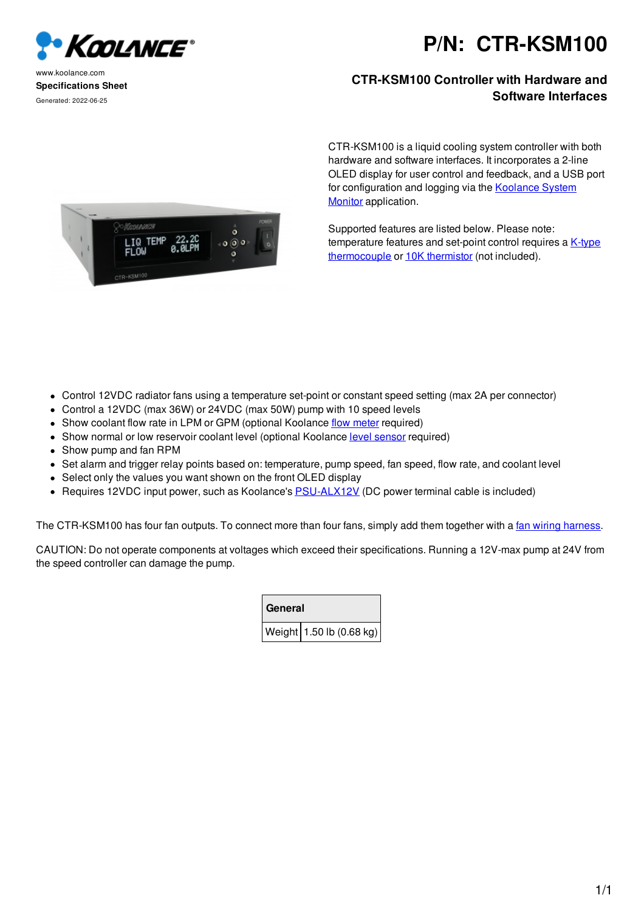

www.koolance.com **Specifications Sheet** Generated: 2022-06-25

## **P/N: CTR-KSM100**

## **CTR-KSM100 Controller with Hardware and Software Interfaces**

**ARANGES** LIQ **TEMP**  CTR-KSM100 is a liquid cooling system controller with both hardware and software interfaces. It incorporates a 2-line OLED display for user control and feedback, and a USB port for configuration and logging via the **Koolance System** Monitor application.

Supported features are listed below. Please note: temperature features and set-point control requires a K-type thermocouple or 10K thermistor (not included).

- Control 12VDC radiator fans using a temperature set-point or constant speed setting (max 2A per connector)
- Control a 12VDC (max 36W) or 24VDC (max 50W) pump with 10 speed levels
- Show coolant flow rate in LPM or GPM (optional Koolance flow meter required)
- Show normal or low reservoir coolant level (optional Koolance level sensor required)
- Show pump and fan RPM
- Set alarm and trigger relay points based on: temperature, pump speed, fan speed, flow rate, and coolant level
- Select only the values you want shown on the front OLED display
- Requires 12VDC input power, such as Koolance's **PSU-ALX12V** (DC power terminal cable is included)

The CTR-KSM100 has four fan outputs. To connect more than four fans, simply add them together with a fan wiring harness.

CAUTION: Do not operate components at voltages which exceed their specifications. Running a 12V-max pump at 24V from the speed controller can damage the pump.

|  | General |                          |
|--|---------|--------------------------|
|  |         | Weight 1.50 lb (0.68 kg) |